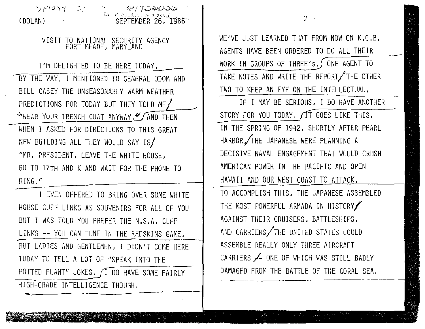

WE'VE JUST LEARNED THAT FROM NOW ON K,G,B. AGENTS HAVE BEEN ORDERED TO DO ALL THEIR WORK IN GROUPS OF THREE's. ONE AGENT TO TAKE NOTES AND WRITE THE REPORT THE OTHER TWO TO KEEP AN EYE ON THE INTELLECTUAL,

 $- 2 -$ 

IF I MAY BE SERIOUS, I DO HAVE ANOTHER STORY FOR YOU TODAY,  $\sqrt{11}$  GOES LIKE THIS, IN THE SPRING OF 1942, SHORTLY AFTER PEARL HARBOR/THE JAPANESE WERE PLANNING A DECISIVE NAVAL ENGAGEMENT THAT WOULD CRUSH AMERICAN POWER IN THE PACIFIC AND OPEN HAWAII AND OUR WEST COAST TO ATTACK.

TO ACCOMPLISH THIS, THE JAPANESE ASSEMBLED THE MOST POWERFUL ARMADA IN HISTORY AGAINST THEIR CRUISERS, BATTLESHIPS, AND CARRIERS $/$ THE UNITED STATES COULD ASSEMBLE REALLY ONLY THREE AIRCRAFT CARRIERS / ONE OF WHICH WAS STILL BADLY DAMAGED FROM THE BATTLE OF THE CORAL SEA,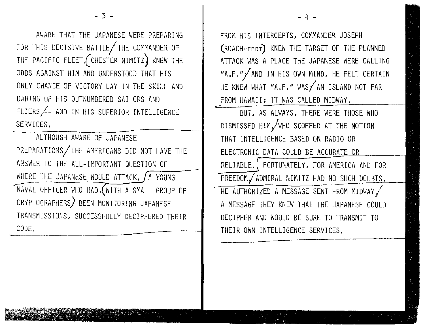AWARE THAT THE JAPANESE WERE PREPARING FOR THIS DECISIVE BATTLE/THE COMMANDER OF THE PACIFIC FLEET  $($  CHESTER NIMITZ) KNEW THE ODDS AGAINST HIM AND UNDERSTOOD THAT HIS ONLY CHANCE OF VICTORY LAY IN THE SKILL AND DARING OF HIS OUTNUMBERED SAILORS AND FLIERS~- AND IN HIS SUPERIOR INTELLIGENCE SERVICES.

 $-3 -$ 

ALTHOUGH AWARE OF JAPANESE PREPARATIONS/THE AMERICANS DID NOT HAVE THE ANSWER TO THE ALL-IMPORTANT QUESTION OF WHERE THE JAPANESE WOULD ATTACK,  $\int A$  YOUNG NAVAL OFFICER WHO HAD, WITH A SMALL GROUP OF CRYPTOGRAPHERS) BEEN MONITORING JAPANESE TRANSMISSIONS, SUCCESSFULLY DECIPHERED THEIR CRYPTUG<br>TRANSMI<br>CODE. CODE, --------------· FROM HIS INTERCEPTS, COMMANDER JOSEPH (ROACH-FERT) KNEW THE TARGET OF THE PLANNED ATTACK WAS A PLACE THE JAPANESE WERE CALLING "A.F."/AND IN HIS OWN MIND, HE FELT CERTAIN HE KNEW WHAT "A.F." WAS/AN ISLAND NOT FAR FROM HAWAII; IT WAS CALLED MIDWAY.

- 4 -

BUT, AS ALWAYS, THERE WERE THOSE WHO DISMISSED HIMy1WHO SCOFFED AT THE NOTION THAT INTELLIGENCE BASED ON RADIO OR ELECTRONIC DATA COULD BE ACCURATE OR RELIABLE. FORTUNATELY, FOR AMERICA AND FOR FREEDOM/ADMIRAL NIMITZ HAD NO SUCH DOUBTS. HE AUTHORIZED A MESSAGE SENT FROM MIDWAY, A MESSAGE THEY KNEW THAT THE JAPANESE COULD DECIPHER AND WOULD BE SURE TO TRANSMIT TO THEIR OWN INTELLIGENCE SERVICES.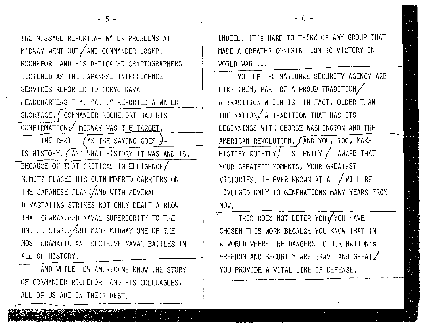THE MESSAGE REPORTING WATER PROBLEMS AT MIDWAY WENT OUT/AND COMMANDER JOSEPH ROCHEFORT AND HIS DEDICATED CRYPTOGRAPHERS LISTENED AS THE JAPANESE INTELLIGENCE SERVICES REPORTED TO TOKYO NAVAL HEADQUARTERS THAT "A.F." REPORTED A WATER SHORTAGE. COMMANDER ROCHEFORT HAD HIS CONFIRMATION/ MIDWAY WAS THE TARGET. THE REST  $-\sqrt{AS}$  THE SAYING GOES )-IS HISTORY. (AND WHAT HISTORY IT WAS AND IS. BECAUSE OF THAT CRITICAL INTELLIGENCE/ NIMITZ PLACED HIS OUTNUMBERED CARRIERS ON THE JAPANESE FLANK/AND WITH SEVERAL DEVASTATING STRIKES NOT ONLY DEALT A BLOW THAT GUARANTEED NAVAL SUPERIORITY TO THE UNITED STATES BUT MADE MIDWAY ONE OF THE MOST DRAMATIC AND DECISIVE NAVAL BATTLES IN ALL OF HISTORY.

AND WHILE FEW AMERICANS KNOW THE STORY OF COMMANDER ROCHEFORT AND HIS COLLEAGUES, ALL OF US ARE IN THEIR DEBT.

INDEED, !T's HARD TO THINK OF ANY GROUP THAT MADE A GREATER CONTRIBUTION TO VICTORY IN WORLD WAR II.

YOU OF THE NATIONAL SECURITY AGENCY ARE LIKE THEM, PART OF A PROUD TRADITION/ A TRADITION WHICH IS, IN FACT, OLDER THAN THE NATION $/$  A TRADITION THAT HAS ITS BEGINNINGS WITH GEORGE WASHINGTON AND THE AMERICAN REVOLUTION. AND YOU, TOO, MAKE HISTORY QUIETLY/-- SILENTLY  $f$ - AWARE THAT YOUR GREATEST MOMENTS, YOUR GREATEST VICTORIES, IF EVER KNOWN AT ALL/ WILL BE DIVULGED ONLY TO GENERATIONS MANY YEARS FROM NOW,

THIS DOES NOT DETER YOU YOU HAVE CHOSEN THIS WORK BECAUSE YOU KNOW THAT IN A WORLD WHERE THE DANGERS TO OUR NATION'S FREEDOM AND SECURITY ARE GRAVE AND GREAT $\angle$ YOU PROVIDE A VITAL LINE OF DEFENSE.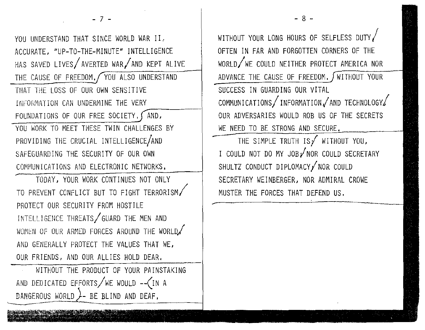$- 7 -$ 

YOU UNDERSTAND THAT SINCE WORLD WAR II. ACCURATE, "UP-TO-THE-MINUTE" INTELLIGENCE HAS SAVED LIVES AVERTED WAR AND KEPT ALIVE THE CAUSE OF FREEDOM, YOU ALSO UNDERSTAND THAT THE LOSS OF OUR OWN SENSITIVE INFORMATION CAN UNDERMINE THE VERY FOUNDATIONS OF OUR FREE SOCIETY.  $\sqrt{AND}$ , YOU WORK TO MEET THESE TWIN CHALLENGES BY PROVIDING THE CRUCIAL INTELLIGENCE/AND SAFEGUARDING THE SECURITY OF OUR OWN COMMUNICATIONS AND ELECTRONIC NETWORKS,

TODAY, YOUR WORK CONTINUES NOT ONLY TO PREVENT CONFLICT BUT TO FIGHT TERRORISM/ PROTECT OUR SECURITY FROM HOSTILE INTELLIGENCE THREATS GUARD THE MEN AND WOMEN OF OUR ARMED FORCES AROUND THE WORLD/ AND GENERALLY PROTECT THE VALUES THAT WE, OUR FRIENDS, AND OUR ALLIES HOLD DEAR.

WITHOUT THE PRODUCT OF YOUR PAINSTAKING AND DEDICATED EFFORTS/WE WOULD -- (IN A DANGEROUS WORLD  $\angle$ - BE BLIND AND DEAF.

WITHOUT YOUR LONG HOURS OF SELFLESS DUTY OFTEN IN FAR AND FORGOTTEN CORNERS OF THE WORLD/WE COULD NEITHER PROTECT AMERICA NOR ADVANCE THE CAUSE OF FREEDOM, WITHOUT YOUR SUCCESS IN GUARDING OUR VITAL  $COMMUNICATIONS / INFORMATION / AND TECHNOLOGY$ OUR ADVERSARIES WOULD ROB US OF THE SECRETS WE NEED TO BE STRONG AND SECURE.

- 8 -

THE SIMPLE TRUTH IS  $\overline{f}$  without you, I COULD NOT DO MY JOB/NOR COULD SECRETARY SHULTZ CONDUCT DIPLOMACY NOR COULD SECRETARY WEINBERGER, NOR ADMIRAL CROWE MUSTER THE FORCES THAT DEFEND US.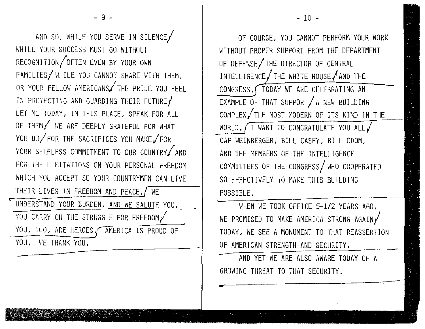.- AND SO, WHILE YOU SERVE IN SILENCE WHILE YOUR SUCCESS MUST GO WITHOUT RECOGNITION/OFTEN EVEN BY YOUR OWN  $FAMILIES /$  WHILE YOU CANNOT SHARE WITH THEM, OR YOUR FELLOW AMERICANS THE PRIDE YOU FEEL IN PROTECTING AND GUARDING THEIR FUTURE/ LET ME TODAY, IN THIS PLACE, SPEAK FOR ALL OF THEM/' WE ARE DEEPLY GRATEFUL FOR WHAT YOU DO/FOR THE SACRIFICES YOU MAKE/FOR YOUR SELFLESS COMMITMENT TO OUR COUNTRY AND FOR THE LIMITATIONS ON YOUR PERSONAL FREEDOM WHICH YOU ACCEPT SO YOUR COUNTRYMEN CAN LIVE THEIR LIVES IN FREEDOM AND PEACE./ WE UNDERSTAND YOUR BURDEN, AND WE SALUTE YOU. YOU CARRY ON THE STRUGGLE FOR FREEDOM/ YOU, TOO, ARE HEROES, AMERICA IS PROUD OF YOU. WE THANK YOU.

- 9 -

OF COURSE, YOU CANNOT PERFORM YOUR WORK WITHOUT PROPER SUPPORT FROM THE DEPARTMENT OF DEFENSE/THE DIRECTOR OF CENTRAL INTELLIGENCE  $int$  the white house  $int$  and the CONGRESS. TODAY WE ARE CELEBRATING AN  $EXAMPLE OF THAT SUPPORT/A NEW BULDDING$ COMPLEX,/THE MOST MODERN OF ITS KIND IN THE WORLD. I WANT TO CONGRATULATE YOU ALL, AND THE MEMBERS OF THE INTELLIGENCE COMMITTEES OF THE CONGRESS/WHO COOPERATED SO EFFECTIVELY TO MAKE THIS BUILDING POSSIBLE .

WHEN WE TOOK OFFICE 5-1/2 YEARS AGO. WE PROMISED TO MAKE AMERICA STRONG AGAIN  $\checkmark$ TODAY, WE SEE A MONUMENT TO THAT REASSERTION OF AMERICAN STRENGTH AND SECURITY.

AND **YET** WE ARE ALSO AWARE TODAY OF A GROWING THREAT TO THAT SECURITY.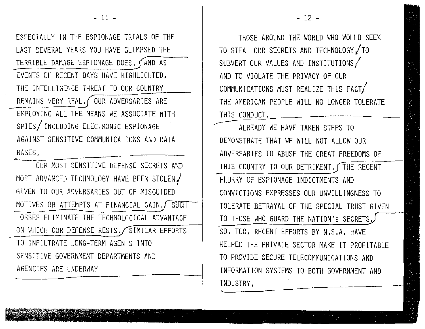ESPECIALLY IN THE ESPIONAGE TRIALS OF THE LAST SEVERAL YEARS YOU HAVE GLIMPSED THE TERRIBLE DAMAGE ESPIONAGE DOES,  $\triangle$ AND AS EVENTS OF RECENT DAYS HAVE HIGHLIGHTED, THE INTELLIGENCE THREAT TO OUR COUNTRY REMAINS VERY REAL, OUR ADVERSARIES ARE EMPLOYING ALL THE MEANS WE ASSOCIATE WITH SPIES/ INCLUDING ELECTRONIC ESPIONAGE AGAINST SENSITIVE COMMUNICATIONS AND DATA BASES.

OUR MOST SENSITIVE DEFENSE SECRETS AND MOST ADVANCED TECHNOLOGY HAVE BEEN STOLEN/ GIVEN TO OUR ADVERSARIES OUT OF MISGUIDED MOTIVES OR ATTEMPTS AT FINANCIAL GAIN, SUCH LOSSES ELIMINATE THE TECHNOLOGICAL ADVANTAGE ON WHICH OUR DEFENSE RESTS. SIMILAR EFFORTS TO INFILTRATE LONG-TERM AGENTS INTO SENSITIVE GOVERNMENT DEPARTMENTS AND AGENCIES ARE UNDERWAY,

THOSE AROUND THE WORLD WHO WOULD SEEK TO STEAL OUR SECRETS AND TECHNOLOGY / TO SUBVERT OUR VALUES AND INSTITUTIONS AND TO VIOLATE THE PRIVACY OF OUR COMMUNICATIONS MUST REALIZE THIS FACT/ THE AMERICAN PEOPLE WILL NO LONGER TOLERATE THIS CONDUCT.

ALREADY WE HAVE TAKEN STEPS TO DEMONSTRATE THAT WE WILL NOT ALLOW OUR ADVERSARIES TO ABUSE THE GREAT FREEDOMS OF THIS COUNTRY TO OUR DETRIMENT. THE RECENT FLURRY OF ESPIONAGE INDICTMENTS AND CONVICTIONS EXPRESSES OUR UNWILLINGNESS TO TOLERATE BETRAYAL OF THE SPECIAL TRUST GIVEN TO THOSE WHO GUARD THE NATION'S SECRETS. SO, TOO, RECENT EFFORTS BY N.S.A, HAVE HELPED THE PRIVATE SECTOR MAKE IT PROFITABLE TO PROVIDE SECURE TELECOMMUNICATIONS AND INFORMATION SYSTEMS TO BOTH GOVERNMENT AND INDUSTRY,